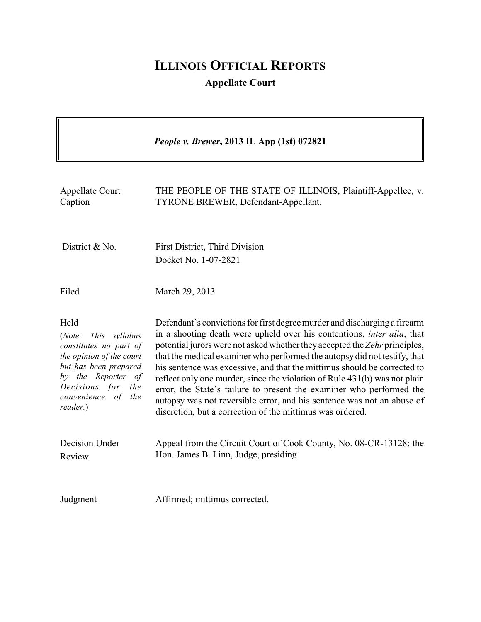# **ILLINOIS OFFICIAL REPORTS Appellate Court**

|                                                                                                                                                                                                   | People v. Brewer, 2013 IL App (1st) 072821                                                                                                                                                                                                                                                                                                                                                                                                                                                                                                                                                                                                                                                     |
|---------------------------------------------------------------------------------------------------------------------------------------------------------------------------------------------------|------------------------------------------------------------------------------------------------------------------------------------------------------------------------------------------------------------------------------------------------------------------------------------------------------------------------------------------------------------------------------------------------------------------------------------------------------------------------------------------------------------------------------------------------------------------------------------------------------------------------------------------------------------------------------------------------|
| Appellate Court<br>Caption                                                                                                                                                                        | THE PEOPLE OF THE STATE OF ILLINOIS, Plaintiff-Appellee, v.<br>TYRONE BREWER, Defendant-Appellant.                                                                                                                                                                                                                                                                                                                                                                                                                                                                                                                                                                                             |
| District & No.                                                                                                                                                                                    | First District, Third Division<br>Docket No. 1-07-2821                                                                                                                                                                                                                                                                                                                                                                                                                                                                                                                                                                                                                                         |
| Filed                                                                                                                                                                                             | March 29, 2013                                                                                                                                                                                                                                                                                                                                                                                                                                                                                                                                                                                                                                                                                 |
| Held<br>(Note:<br>This syllabus<br>constitutes no part of<br>the opinion of the court<br>but has been prepared<br>by the Reporter of<br>Decisions for<br>the<br>convenience of<br>the<br>reader.) | Defendant's convictions for first degree murder and discharging a firearm<br>in a shooting death were upheld over his contentions, <i>inter alia</i> , that<br>potential jurors were not asked whether they accepted the Zehr principles,<br>that the medical examiner who performed the autopsy did not testify, that<br>his sentence was excessive, and that the mittimus should be corrected to<br>reflect only one murder, since the violation of Rule 431(b) was not plain<br>error, the State's failure to present the examiner who performed the<br>autopsy was not reversible error, and his sentence was not an abuse of<br>discretion, but a correction of the mittimus was ordered. |
| Decision Under<br>Review                                                                                                                                                                          | Appeal from the Circuit Court of Cook County, No. 08-CR-13128; the<br>Hon. James B. Linn, Judge, presiding.                                                                                                                                                                                                                                                                                                                                                                                                                                                                                                                                                                                    |
| Judgment                                                                                                                                                                                          | Affirmed; mittimus corrected.                                                                                                                                                                                                                                                                                                                                                                                                                                                                                                                                                                                                                                                                  |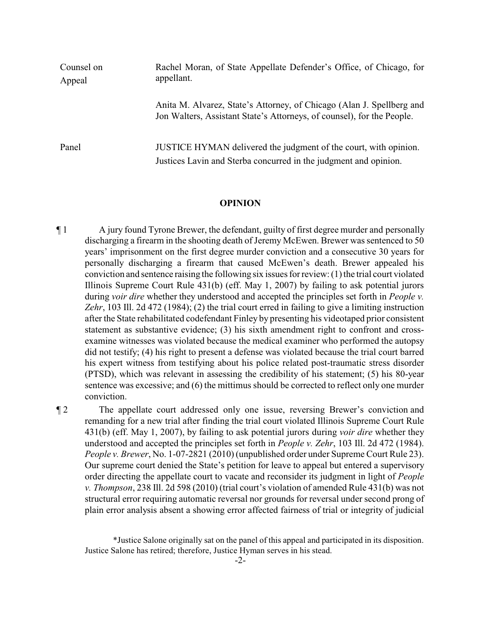| Counsel on<br>Appeal | Rachel Moran, of State Appellate Defender's Office, of Chicago, for<br>appellant.                                                               |
|----------------------|-------------------------------------------------------------------------------------------------------------------------------------------------|
|                      | Anita M. Alvarez, State's Attorney, of Chicago (Alan J. Spellberg and<br>Jon Walters, Assistant State's Attorneys, of counsel), for the People. |
| Panel                | JUSTICE HYMAN delivered the judgment of the court, with opinion.<br>Justices Lavin and Sterba concurred in the judgment and opinion.            |

#### **OPINION**

¶ 1 A jury found Tyrone Brewer, the defendant, guilty of first degree murder and personally discharging a firearm in the shooting death of Jeremy McEwen. Brewer was sentenced to 50 years' imprisonment on the first degree murder conviction and a consecutive 30 years for personally discharging a firearm that caused McEwen's death. Brewer appealed his conviction and sentence raising the following six issues for review: (1) the trial court violated Illinois Supreme Court Rule 431(b) (eff. May 1, 2007) by failing to ask potential jurors during *voir dire* whether they understood and accepted the principles set forth in *People v. Zehr*, 103 Ill. 2d 472 (1984); (2) the trial court erred in failing to give a limiting instruction after the State rehabilitated codefendant Finley by presenting his videotaped prior consistent statement as substantive evidence; (3) his sixth amendment right to confront and crossexamine witnesses was violated because the medical examiner who performed the autopsy did not testify; (4) his right to present a defense was violated because the trial court barred his expert witness from testifying about his police related post-traumatic stress disorder (PTSD), which was relevant in assessing the credibility of his statement; (5) his 80-year sentence was excessive; and (6) the mittimus should be corrected to reflect only one murder conviction.

¶ 2 The appellate court addressed only one issue, reversing Brewer's conviction and remanding for a new trial after finding the trial court violated Illinois Supreme Court Rule 431(b) (eff. May 1, 2007), by failing to ask potential jurors during *voir dire* whether they understood and accepted the principles set forth in *People v. Zehr*, 103 Ill. 2d 472 (1984). *People v. Brewer*, No. 1-07-2821 (2010) (unpublished order under Supreme Court Rule 23). Our supreme court denied the State's petition for leave to appeal but entered a supervisory order directing the appellate court to vacate and reconsider its judgment in light of *People v. Thompson*, 238 Ill. 2d 598 (2010) (trial court's violation of amended Rule 431(b) was not structural error requiring automatic reversal nor grounds for reversal under second prong of plain error analysis absent a showing error affected fairness of trial or integrity of judicial

<sup>\*</sup>Justice Salone originally sat on the panel of this appeal and participated in its disposition. Justice Salone has retired; therefore, Justice Hyman serves in his stead.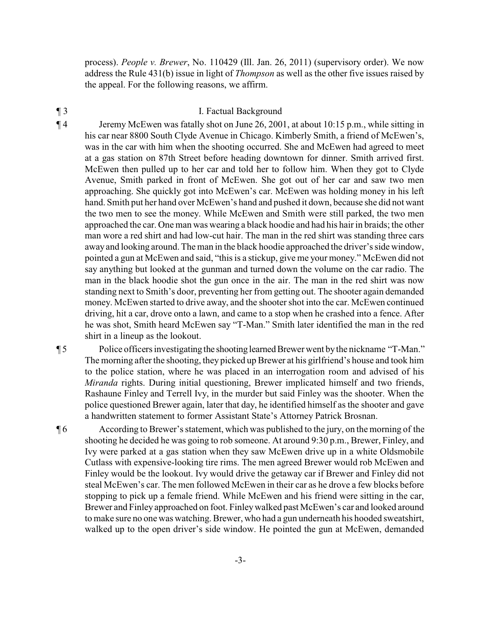process). *People v. Brewer*, No. 110429 (Ill. Jan. 26, 2011) (supervisory order). We now address the Rule 431(b) issue in light of *Thompson* as well as the other five issues raised by the appeal. For the following reasons, we affirm.

#### ¶ 3 I. Factual Background

¶ 4 Jeremy McEwen was fatally shot on June 26, 2001, at about 10:15 p.m., while sitting in his car near 8800 South Clyde Avenue in Chicago. Kimberly Smith, a friend of McEwen's, was in the car with him when the shooting occurred. She and McEwen had agreed to meet at a gas station on 87th Street before heading downtown for dinner. Smith arrived first. McEwen then pulled up to her car and told her to follow him. When they got to Clyde Avenue, Smith parked in front of McEwen. She got out of her car and saw two men approaching. She quickly got into McEwen's car. McEwen was holding money in his left hand. Smith put her hand over McEwen's hand and pushed it down, because she did not want the two men to see the money. While McEwen and Smith were still parked, the two men approached the car. One man was wearing a black hoodie and had his hair in braids; the other man wore a red shirt and had low-cut hair. The man in the red shirt was standing three cars away and looking around. The man in the black hoodie approached the driver's side window, pointed a gun at McEwen and said, "this is a stickup, give me your money." McEwen did not say anything but looked at the gunman and turned down the volume on the car radio. The man in the black hoodie shot the gun once in the air. The man in the red shirt was now standing next to Smith's door, preventing her from getting out. The shooter again demanded money. McEwen started to drive away, and the shooter shot into the car. McEwen continued driving, hit a car, drove onto a lawn, and came to a stop when he crashed into a fence. After he was shot, Smith heard McEwen say "T-Man." Smith later identified the man in the red shirt in a lineup as the lookout.

¶ 5 Police officers investigating the shootinglearnedBrewer went bythe nickname "T-Man." The morning after the shooting, they picked up Brewer at his girlfriend's house and took him to the police station, where he was placed in an interrogation room and advised of his *Miranda* rights. During initial questioning, Brewer implicated himself and two friends, Rashaune Finley and Terrell Ivy, in the murder but said Finley was the shooter. When the police questioned Brewer again, later that day, he identified himself as the shooter and gave a handwritten statement to former Assistant State's Attorney Patrick Brosnan.

¶ 6 According to Brewer's statement, which was published to the jury, on the morning of the shooting he decided he was going to rob someone. At around 9:30 p.m., Brewer, Finley, and Ivy were parked at a gas station when they saw McEwen drive up in a white Oldsmobile Cutlass with expensive-looking tire rims. The men agreed Brewer would rob McEwen and Finley would be the lookout. Ivy would drive the getaway car if Brewer and Finley did not steal McEwen's car. The men followed McEwen in their car as he drove a few blocks before stopping to pick up a female friend. While McEwen and his friend were sitting in the car, Brewer and Finley approached on foot. Finleywalked past McEwen's car and looked around to make sure no one was watching. Brewer, who had a gun underneath his hooded sweatshirt, walked up to the open driver's side window. He pointed the gun at McEwen, demanded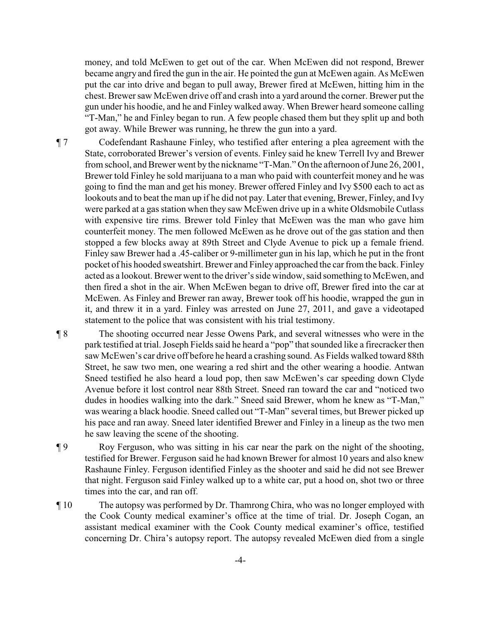money, and told McEwen to get out of the car. When McEwen did not respond, Brewer became angry and fired the gun in the air. He pointed the gun at McEwen again. As McEwen put the car into drive and began to pull away, Brewer fired at McEwen, hitting him in the chest. Brewer saw McEwen drive off and crash into a yard around the corner. Brewer put the gun under his hoodie, and he and Finley walked away. When Brewer heard someone calling "T-Man," he and Finley began to run. A few people chased them but they split up and both got away. While Brewer was running, he threw the gun into a yard.

- ¶ 7 Codefendant Rashaune Finley, who testified after entering a plea agreement with the State, corroborated Brewer's version of events. Finley said he knew Terrell Ivy and Brewer from school, and Brewer went by the nickname "T-Man." On the afternoon of June 26, 2001, Brewer told Finley he sold marijuana to a man who paid with counterfeit money and he was going to find the man and get his money. Brewer offered Finley and Ivy \$500 each to act as lookouts and to beat the man up if he did not pay. Later that evening, Brewer, Finley, and Ivy were parked at a gas station when they saw McEwen drive up in a white Oldsmobile Cutlass with expensive tire rims. Brewer told Finley that McEwen was the man who gave him counterfeit money. The men followed McEwen as he drove out of the gas station and then stopped a few blocks away at 89th Street and Clyde Avenue to pick up a female friend. Finley saw Brewer had a .45-caliber or 9-millimeter gun in his lap, which he put in the front pocket of his hooded sweatshirt. Brewer and Finley approached the car from the back. Finley acted as a lookout. Brewer went to the driver's side window, said something to McEwen, and then fired a shot in the air. When McEwen began to drive off, Brewer fired into the car at McEwen. As Finley and Brewer ran away, Brewer took off his hoodie, wrapped the gun in it, and threw it in a yard. Finley was arrested on June 27, 2011, and gave a videotaped statement to the police that was consistent with his trial testimony.
- ¶ 8 The shooting occurred near Jesse Owens Park, and several witnesses who were in the park testified at trial. Joseph Fields said he heard a "pop" that sounded like a firecracker then saw McEwen's car drive off before he heard a crashing sound. As Fields walked toward 88th Street, he saw two men, one wearing a red shirt and the other wearing a hoodie. Antwan Sneed testified he also heard a loud pop, then saw McEwen's car speeding down Clyde Avenue before it lost control near 88th Street. Sneed ran toward the car and "noticed two dudes in hoodies walking into the dark." Sneed said Brewer, whom he knew as "T-Man," was wearing a black hoodie. Sneed called out "T-Man" several times, but Brewer picked up his pace and ran away. Sneed later identified Brewer and Finley in a lineup as the two men he saw leaving the scene of the shooting.
- ¶ 9 Roy Ferguson, who was sitting in his car near the park on the night of the shooting, testified for Brewer. Ferguson said he had known Brewer for almost 10 years and also knew Rashaune Finley. Ferguson identified Finley as the shooter and said he did not see Brewer that night. Ferguson said Finley walked up to a white car, put a hood on, shot two or three times into the car, and ran off.
- ¶ 10 The autopsy was performed by Dr. Thamrong Chira, who was no longer employed with the Cook County medical examiner's office at the time of trial. Dr. Joseph Cogan, an assistant medical examiner with the Cook County medical examiner's office, testified concerning Dr. Chira's autopsy report. The autopsy revealed McEwen died from a single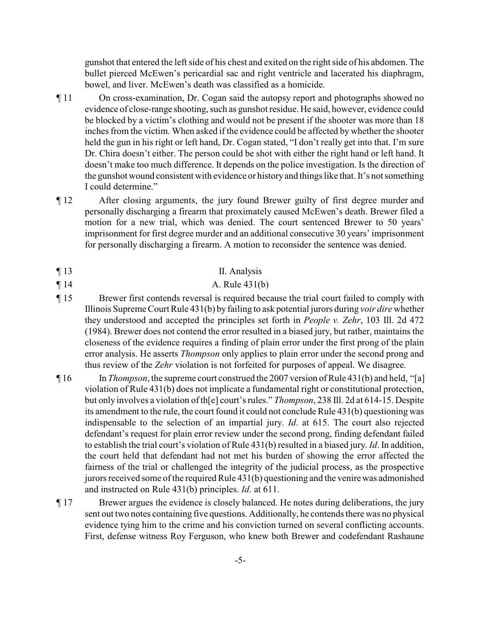gunshot that entered the left side of his chest and exited on the right side of his abdomen. The bullet pierced McEwen's pericardial sac and right ventricle and lacerated his diaphragm, bowel, and liver. McEwen's death was classified as a homicide.

- ¶ 11 On cross-examination, Dr. Cogan said the autopsy report and photographs showed no evidence of close-range shooting, such as gunshot residue. He said, however, evidence could be blocked by a victim's clothing and would not be present if the shooter was more than 18 inches from the victim. When asked if the evidence could be affected by whether the shooter held the gun in his right or left hand, Dr. Cogan stated, "I don't really get into that. I'm sure Dr. Chira doesn't either. The person could be shot with either the right hand or left hand. It doesn't make too much difference. It depends on the police investigation. Is the direction of the gunshot wound consistent with evidence or historyand things like that. It's not something I could determine."
- ¶ 12 After closing arguments, the jury found Brewer guilty of first degree murder and personally discharging a firearm that proximately caused McEwen's death. Brewer filed a motion for a new trial, which was denied. The court sentenced Brewer to 50 years' imprisonment for first degree murder and an additional consecutive 30 years' imprisonment for personally discharging a firearm. A motion to reconsider the sentence was denied.
- ¶ 13 II. Analysis
- $\P 14$  A. Rule 431(b)
- ¶ 15 Brewer first contends reversal is required because the trial court failed to comply with Illinois Supreme Court Rule 431(b) by failing to ask potential jurors during *voir dire* whether they understood and accepted the principles set forth in *People v. Zehr*, 103 Ill. 2d 472 (1984). Brewer does not contend the error resulted in a biased jury, but rather, maintains the closeness of the evidence requires a finding of plain error under the first prong of the plain error analysis. He asserts *Thompson* only applies to plain error under the second prong and thus review of the *Zehr* violation is not forfeited for purposes of appeal. We disagree.
- ¶ 16 In *Thompson*, the supreme court construed the 2007 version of Rule 431(b) and held, "[a] violation of Rule 431(b) does not implicate a fundamental right or constitutional protection, but only involves a violation of th[e] court's rules." *Thompson*, 238 Ill. 2d at 614-15. Despite its amendment to the rule, the court found it could not conclude Rule  $431(b)$  questioning was indispensable to the selection of an impartial jury. *Id*. at 615. The court also rejected defendant's request for plain error review under the second prong, finding defendant failed to establish the trial court's violation of Rule 431(b) resulted in a biased jury. *Id*. In addition, the court held that defendant had not met his burden of showing the error affected the fairness of the trial or challenged the integrity of the judicial process, as the prospective jurors received some of the required Rule 431(b) questioning and the venire was admonished and instructed on Rule 431(b) principles. *Id*. at 611.
- ¶ 17 Brewer argues the evidence is closely balanced. He notes during deliberations, the jury sent out two notes containing five questions. Additionally, he contends there was no physical evidence tying him to the crime and his conviction turned on several conflicting accounts. First, defense witness Roy Ferguson, who knew both Brewer and codefendant Rashaune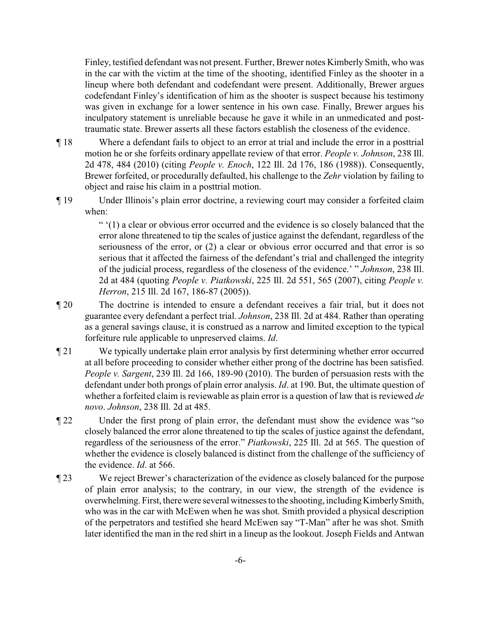Finley, testified defendant was not present. Further, Brewer notes Kimberly Smith, who was in the car with the victim at the time of the shooting, identified Finley as the shooter in a lineup where both defendant and codefendant were present. Additionally, Brewer argues codefendant Finley's identification of him as the shooter is suspect because his testimony was given in exchange for a lower sentence in his own case. Finally, Brewer argues his inculpatory statement is unreliable because he gave it while in an unmedicated and posttraumatic state. Brewer asserts all these factors establish the closeness of the evidence.

- ¶ 18 Where a defendant fails to object to an error at trial and include the error in a posttrial motion he or she forfeits ordinary appellate review of that error. *People v. Johnson*, 238 Ill. 2d 478, 484 (2010) (citing *People v. Enoch*, 122 Ill. 2d 176, 186 (1988)). Consequently, Brewer forfeited, or procedurally defaulted, his challenge to the *Zehr* violation by failing to object and raise his claim in a posttrial motion.
- ¶ 19 Under Illinois's plain error doctrine, a reviewing court may consider a forfeited claim when:

" '(1) a clear or obvious error occurred and the evidence is so closely balanced that the error alone threatened to tip the scales of justice against the defendant, regardless of the seriousness of the error, or (2) a clear or obvious error occurred and that error is so serious that it affected the fairness of the defendant's trial and challenged the integrity of the judicial process, regardless of the closeness of the evidence.' " *Johnson*, 238 Ill. 2d at 484 (quoting *People v. Piatkowski*, 225 Ill. 2d 551, 565 (2007), citing *People v. Herron*, 215 Ill. 2d 167, 186-87 (2005)).

- ¶ 20 The doctrine is intended to ensure a defendant receives a fair trial, but it does not guarantee every defendant a perfect trial. *Johnson*, 238 Ill. 2d at 484. Rather than operating as a general savings clause, it is construed as a narrow and limited exception to the typical forfeiture rule applicable to unpreserved claims. *Id*.
- ¶ 21 We typically undertake plain error analysis by first determining whether error occurred at all before proceeding to consider whether either prong of the doctrine has been satisfied. *People v. Sargent*, 239 Ill. 2d 166, 189-90 (2010). The burden of persuasion rests with the defendant under both prongs of plain error analysis. *Id*. at 190. But, the ultimate question of whether a forfeited claim is reviewable as plain error is a question of law that is reviewed *de novo*. *Johnson*, 238 Ill. 2d at 485.
- ¶ 22 Under the first prong of plain error, the defendant must show the evidence was "so closely balanced the error alone threatened to tip the scales of justice against the defendant, regardless of the seriousness of the error." *Piatkowski*, 225 Ill. 2d at 565. The question of whether the evidence is closely balanced is distinct from the challenge of the sufficiency of the evidence. *Id*. at 566.
- ¶ 23 We reject Brewer's characterization of the evidence as closely balanced for the purpose of plain error analysis; to the contrary, in our view, the strength of the evidence is overwhelming. First, therewere several witnesses to the shooting, including KimberlySmith, who was in the car with McEwen when he was shot. Smith provided a physical description of the perpetrators and testified she heard McEwen say "T-Man" after he was shot. Smith later identified the man in the red shirt in a lineup as the lookout. Joseph Fields and Antwan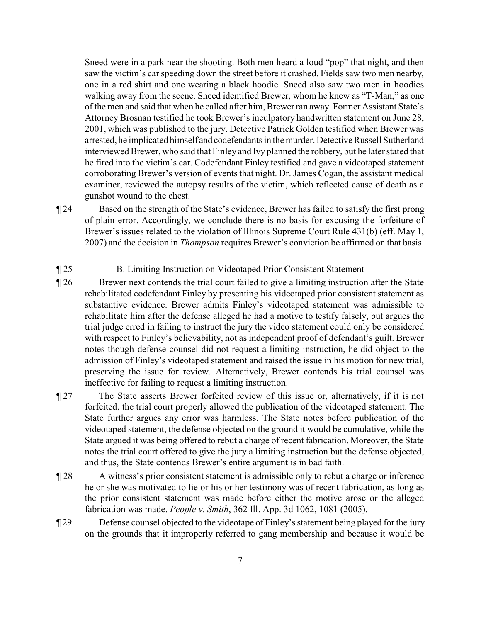Sneed were in a park near the shooting. Both men heard a loud "pop" that night, and then saw the victim's carspeeding down the street before it crashed. Fields saw two men nearby, one in a red shirt and one wearing a black hoodie. Sneed also saw two men in hoodies walking away from the scene. Sneed identified Brewer, whom he knew as "T-Man," as one of the men and said that when he called after him, Brewer ran away. Former Assistant State's Attorney Brosnan testified he took Brewer's inculpatory handwritten statement on June 28, 2001, which was published to the jury. Detective Patrick Golden testified when Brewer was arrested, he implicated himself and codefendants in the murder. Detective Russell Sutherland interviewed Brewer, who said that Finley and Ivy planned the robbery, but he later stated that he fired into the victim's car. Codefendant Finley testified and gave a videotaped statement corroborating Brewer's version of events that night. Dr. James Cogan, the assistant medical examiner, reviewed the autopsy results of the victim, which reflected cause of death as a gunshot wound to the chest.

- ¶ 24 Based on the strength of the State's evidence, Brewer has failed to satisfy the first prong of plain error. Accordingly, we conclude there is no basis for excusing the forfeiture of Brewer's issues related to the violation of Illinois Supreme Court Rule 431(b) (eff. May 1, 2007) and the decision in *Thompson* requires Brewer's conviction be affirmed on that basis.
- ¶ 25 B. Limiting Instruction on Videotaped Prior Consistent Statement
- ¶ 26 Brewer next contends the trial court failed to give a limiting instruction after the State rehabilitated codefendant Finley by presenting his videotaped prior consistent statement as substantive evidence. Brewer admits Finley's videotaped statement was admissible to rehabilitate him after the defense alleged he had a motive to testify falsely, but argues the trial judge erred in failing to instruct the jury the video statement could only be considered with respect to Finley's believability, not as independent proof of defendant's guilt. Brewer notes though defense counsel did not request a limiting instruction, he did object to the admission of Finley's videotaped statement and raised the issue in his motion for new trial, preserving the issue for review. Alternatively, Brewer contends his trial counsel was ineffective for failing to request a limiting instruction.
- ¶ 27 The State asserts Brewer forfeited review of this issue or, alternatively, if it is not forfeited, the trial court properly allowed the publication of the videotaped statement. The State further argues any error was harmless. The State notes before publication of the videotaped statement, the defense objected on the ground it would be cumulative, while the State argued it was being offered to rebut a charge of recent fabrication. Moreover, the State notes the trial court offered to give the jury a limiting instruction but the defense objected, and thus, the State contends Brewer's entire argument is in bad faith.
- ¶ 28 A witness's prior consistent statement is admissible only to rebut a charge or inference he or she was motivated to lie or his or her testimony was of recent fabrication, as long as the prior consistent statement was made before either the motive arose or the alleged fabrication was made. *People v. Smith*, 362 Ill. App. 3d 1062, 1081 (2005).
- ¶ 29 Defense counsel objected to the videotape of Finley's statement being played for the jury on the grounds that it improperly referred to gang membership and because it would be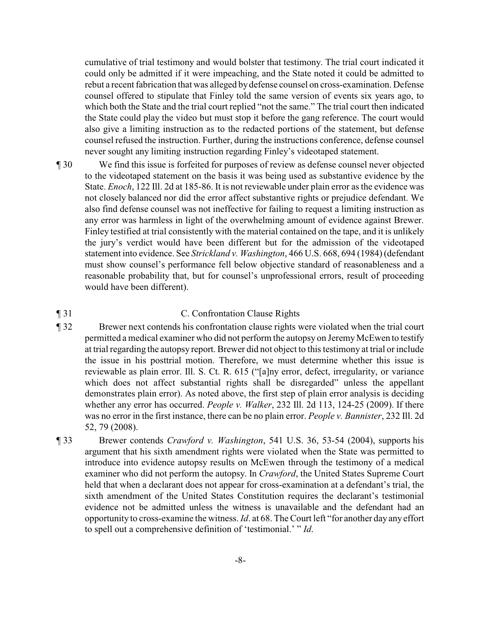cumulative of trial testimony and would bolster that testimony. The trial court indicated it could only be admitted if it were impeaching, and the State noted it could be admitted to rebut a recent fabrication that was alleged bydefense counsel on cross-examination. Defense counsel offered to stipulate that Finley told the same version of events six years ago, to which both the State and the trial court replied "not the same." The trial court then indicated the State could play the video but must stop it before the gang reference. The court would also give a limiting instruction as to the redacted portions of the statement, but defense counsel refused the instruction. Further, during the instructions conference, defense counsel never sought any limiting instruction regarding Finley's videotaped statement.

¶ 30 We find this issue is forfeited for purposes of review as defense counsel never objected to the videotaped statement on the basis it was being used as substantive evidence by the State. *Enoch*, 122 Ill. 2d at 185-86. It is not reviewable under plain error as the evidence was not closely balanced nor did the error affect substantive rights or prejudice defendant. We also find defense counsel was not ineffective for failing to request a limiting instruction as any error was harmless in light of the overwhelming amount of evidence against Brewer. Finley testified at trial consistently with the material contained on the tape, and it is unlikely the jury's verdict would have been different but for the admission of the videotaped statement into evidence. See *Strickland v. Washington*, 466 U.S. 668, 694 (1984) (defendant must show counsel's performance fell below objective standard of reasonableness and a reasonable probability that, but for counsel's unprofessional errors, result of proceeding would have been different).

## ¶ 31 C. Confrontation Clause Rights

- ¶ 32 Brewer next contends his confrontation clause rights were violated when the trial court permitted a medical examiner who did not perform the autopsy on JeremyMcEwen to testify at trial regarding the autopsy report. Brewer did not object to this testimony at trial or include the issue in his posttrial motion. Therefore, we must determine whether this issue is reviewable as plain error. Ill. S. Ct. R. 615 ("[a]ny error, defect, irregularity, or variance which does not affect substantial rights shall be disregarded" unless the appellant demonstrates plain error). As noted above, the first step of plain error analysis is deciding whether any error has occurred. *People v. Walker*, 232 Ill. 2d 113, 124-25 (2009). If there was no error in the first instance, there can be no plain error. *People v. Bannister*, 232 Ill. 2d 52, 79 (2008).
- ¶ 33 Brewer contends *Crawford v. Washington*, 541 U.S. 36, 53-54 (2004), supports his argument that his sixth amendment rights were violated when the State was permitted to introduce into evidence autopsy results on McEwen through the testimony of a medical examiner who did not perform the autopsy. In *Crawford*, the United States Supreme Court held that when a declarant does not appear for cross-examination at a defendant's trial, the sixth amendment of the United States Constitution requires the declarant's testimonial evidence not be admitted unless the witness is unavailable and the defendant had an opportunity to cross-examine the witness. *Id*. at 68. The Court left "for another day any effort to spell out a comprehensive definition of 'testimonial.' " *Id*.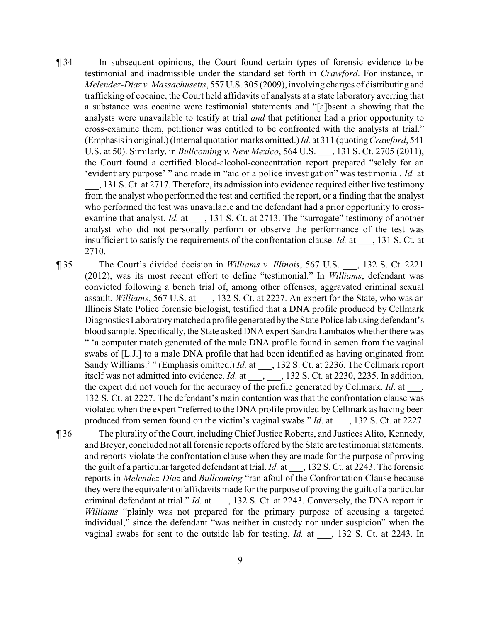- ¶ 34 In subsequent opinions, the Court found certain types of forensic evidence to be testimonial and inadmissible under the standard set forth in *Crawford*. For instance, in *Melendez-Diaz v. Massachusetts*, 557 U.S. 305 (2009), involving charges of distributing and trafficking of cocaine, the Court held affidavits of analysts at a state laboratory averring that a substance was cocaine were testimonial statements and "[a]bsent a showing that the analysts were unavailable to testify at trial *and* that petitioner had a prior opportunity to cross-examine them, petitioner was entitled to be confronted with the analysts at trial." (Emphasisin original.) (Internal quotation marks omitted.) *Id.* at 311 (quoting*Crawford*, 541 U.S. at 50). Similarly, in *Bullcoming v. New Mexico*, 564 U.S. \_\_\_, 131 S. Ct. 2705 (2011), the Court found a certified blood-alcohol-concentration report prepared "solely for an 'evidentiary purpose' " and made in "aid of a police investigation" was testimonial. *Id.* at \_\_\_, 131 S. Ct. at 2717. Therefore, its admission into evidence required either live testimony from the analyst who performed the test and certified the report, or a finding that the analyst who performed the test was unavailable and the defendant had a prior opportunity to crossexamine that analyst. *Id.* at \_\_\_, 131 S. Ct. at 2713. The "surrogate" testimony of another analyst who did not personally perform or observe the performance of the test was insufficient to satisfy the requirements of the confrontation clause. *Id.* at \_\_\_, 131 S. Ct. at 2710.
- ¶ 35 The Court's divided decision in *Williams v. Illinois*, 567 U.S. \_\_\_, 132 S. Ct. 2221 (2012), was its most recent effort to define "testimonial." In *Williams*, defendant was convicted following a bench trial of, among other offenses, aggravated criminal sexual assault. *Williams*, 567 U.S. at  $\qquad$ , 132 S. Ct. at 2227. An expert for the State, who was an Illinois State Police forensic biologist, testified that a DNA profile produced by Cellmark Diagnostics Laboratorymatched a profile generated bythe State Police lab using defendant's blood sample. Specifically, the State asked DNA expert Sandra Lambatos whether there was " 'a computer match generated of the male DNA profile found in semen from the vaginal swabs of [L.J.] to a male DNA profile that had been identified as having originated from Sandy Williams.' " (Emphasis omitted.) *Id.* at \_\_\_, 132 S. Ct. at 2236. The Cellmark report itself was not admitted into evidence. *Id*. at \_\_\_, \_\_\_, 132 S. Ct. at 2230, 2235. In addition, the expert did not vouch for the accuracy of the profile generated by Cellmark. *Id*. at \_\_\_, 132 S. Ct. at 2227. The defendant's main contention was that the confrontation clause was violated when the expert "referred to the DNA profile provided by Cellmark as having been produced from semen found on the victim's vaginal swabs." *Id*. at \_\_\_, 132 S. Ct. at 2227.
- ¶ 36 The plurality of the Court, including Chief Justice Roberts, and Justices Alito, Kennedy, and Breyer, concluded not all forensic reports offered by the State are testimonial statements, and reports violate the confrontation clause when they are made for the purpose of proving the guilt of a particular targeted defendant at trial. *Id.* at \_\_\_, 132 S. Ct. at 2243. The forensic reports in *Melendez-Diaz* and *Bullcoming* "ran afoul of the Confrontation Clause because theywere the equivalent of affidavits made for the purpose of proving the guilt of a particular criminal defendant at trial." *Id.* at \_\_\_, 132 S. Ct. at 2243. Conversely, the DNA report in *Williams* "plainly was not prepared for the primary purpose of accusing a targeted individual," since the defendant "was neither in custody nor under suspicion" when the vaginal swabs for sent to the outside lab for testing. *Id.* at \_\_\_, 132 S. Ct. at 2243. In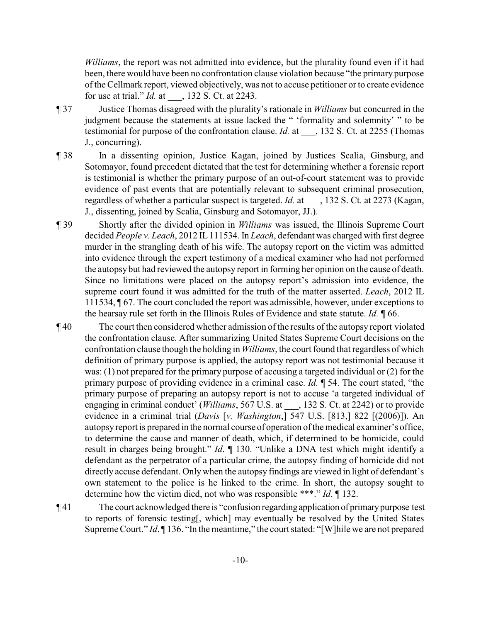*Williams*, the report was not admitted into evidence, but the plurality found even if it had been, there would have been no confrontation clause violation because "the primary purpose of the Cellmark report, viewed objectively, was not to accuse petitioner or to create evidence for use at trial." *Id.* at \_\_\_, 132 S. Ct. at 2243.

- ¶ 37 Justice Thomas disagreed with the plurality's rationale in *Williams* but concurred in the judgment because the statements at issue lacked the " 'formality and solemnity' " to be testimonial for purpose of the confrontation clause. *Id.* at  $\qquad$ , 132 S. Ct. at 2255 (Thomas J., concurring).
- ¶ 38 In a dissenting opinion, Justice Kagan, joined by Justices Scalia, Ginsburg, and Sotomayor, found precedent dictated that the test for determining whether a forensic report is testimonial is whether the primary purpose of an out-of-court statement was to provide evidence of past events that are potentially relevant to subsequent criminal prosecution, regardless of whether a particular suspect is targeted. *Id.* at \_\_\_, 132 S. Ct. at 2273 (Kagan, J., dissenting, joined by Scalia, Ginsburg and Sotomayor, JJ.).
- ¶ 39 Shortly after the divided opinion in *Williams* was issued, the Illinois Supreme Court decided *People v. Leach*, 2012 IL111534. In *Leach*, defendant was charged with first degree murder in the strangling death of his wife. The autopsy report on the victim was admitted into evidence through the expert testimony of a medical examiner who had not performed the autopsybut had reviewed the autopsy report in forming her opinion on the cause of death. Since no limitations were placed on the autopsy report's admission into evidence, the supreme court found it was admitted for the truth of the matter asserted. *Leach*, 2012 IL 111534, ¶ 67. The court concluded the report was admissible, however, under exceptions to the hearsay rule set forth in the Illinois Rules of Evidence and state statute. *Id.* ¶ 66.
- ¶ 40 The court then considered whether admission of the results of the autopsy report violated the confrontation clause. After summarizing United States Supreme Court decisions on the confrontation clause though the holding in *Williams*, the court found that regardless of which definition of primary purpose is applied, the autopsy report was not testimonial because it was: (1) not prepared for the primary purpose of accusing a targeted individual or (2) for the primary purpose of providing evidence in a criminal case. *Id.* ¶ 54. The court stated, "the primary purpose of preparing an autopsy report is not to accuse 'a targeted individual of engaging in criminal conduct' (*Williams*, 567 U.S. at \_\_\_, 132 S. Ct. at 2242) or to provide evidence in a criminal trial (*Davis* [*v. Washington*,] 547 U.S. [813,] 822 [(2006)]). An autopsyreport is prepared in the normal course of operation of the medical examiner's office, to determine the cause and manner of death, which, if determined to be homicide, could result in charges being brought." *Id*. ¶ 130. "Unlike a DNA test which might identify a defendant as the perpetrator of a particular crime, the autopsy finding of homicide did not directly accuse defendant. Only when the autopsy findings are viewed in light of defendant's own statement to the police is he linked to the crime. In short, the autopsy sought to determine how the victim died, not who was responsible \*\*\*." *Id*. ¶ 132.
- ¶ 41 The court acknowledged there is "confusion regardingapplication of primarypurpose test to reports of forensic testing[, which] may eventually be resolved by the United States Supreme Court." *Id*. ¶ 136. "In the meantime," the court stated: "[W]hile we are not prepared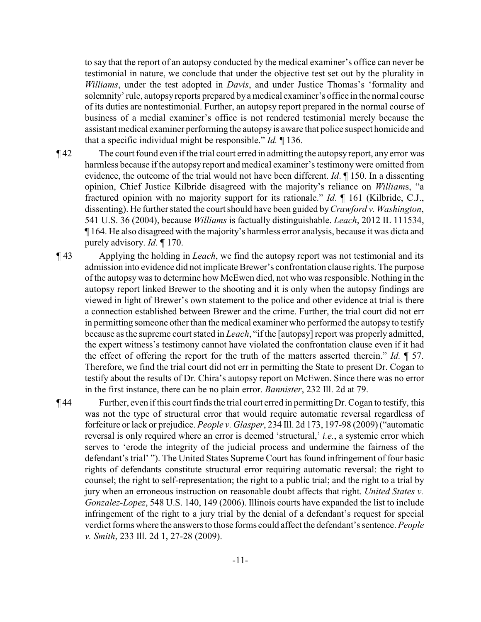to say that the report of an autopsy conducted by the medical examiner's office can never be testimonial in nature, we conclude that under the objective test set out by the plurality in *Williams*, under the test adopted in *Davis*, and under Justice Thomas's 'formality and solemnity' rule, autopsyreports prepared bya medical examiner's office in the normal course of its duties are nontestimonial. Further, an autopsy report prepared in the normal course of business of a medial examiner's office is not rendered testimonial merely because the assistant medical examiner performing the autopsy is aware that police suspect homicide and that a specific individual might be responsible." *Id.* ¶ 136.

- ¶ 42 The court found even if the trial court erred in admitting the autopsy report, any error was harmless because if the autopsy report and medical examiner's testimony were omitted from evidence, the outcome of the trial would not have been different. *Id*. ¶ 150. In a dissenting opinion, Chief Justice Kilbride disagreed with the majority's reliance on *William*s, "a fractured opinion with no majority support for its rationale." *Id*. ¶ 161 (Kilbride, C.J., dissenting). He further stated the court should have been guided by *Crawford v. Washington*, 541 U.S. 36 (2004), because *Williams* is factually distinguishable. *Leach*, 2012 IL 111534, ¶ 164. He also disagreed with the majority's harmless error analysis, because it was dicta and purely advisory. *Id*. ¶ 170.
- ¶ 43 Applying the holding in *Leach*, we find the autopsy report was not testimonial and its admission into evidence did not implicate Brewer's confrontation clause rights. The purpose of the autopsywas to determine how McEwen died, not who was responsible. Nothing in the autopsy report linked Brewer to the shooting and it is only when the autopsy findings are viewed in light of Brewer's own statement to the police and other evidence at trial is there a connection established between Brewer and the crime. Further, the trial court did not err in permitting someone other than the medical examiner who performed the autopsy to testify because as the supreme court stated in *Leach*, "if the [autopsy] report was properly admitted, the expert witness's testimony cannot have violated the confrontation clause even if it had the effect of offering the report for the truth of the matters asserted therein." *Id.* ¶ 57. Therefore, we find the trial court did not err in permitting the State to present Dr. Cogan to testify about the results of Dr. Chira's autopsy report on McEwen. Since there was no error in the first instance, there can be no plain error. *Bannister*, 232 Ill. 2d at 79.

¶ 44 Further, even if this court finds the trial court erred in permitting Dr. Cogan to testify, this was not the type of structural error that would require automatic reversal regardless of forfeiture or lack or prejudice. *People v. Glasper*, 234 Ill. 2d 173, 197-98 (2009) ("automatic reversal is only required where an error is deemed 'structural,' *i.e.*, a systemic error which serves to 'erode the integrity of the judicial process and undermine the fairness of the defendant's trial' "). The United States Supreme Court has found infringement of four basic rights of defendants constitute structural error requiring automatic reversal: the right to counsel; the right to self-representation; the right to a public trial; and the right to a trial by jury when an erroneous instruction on reasonable doubt affects that right. *United States v. Gonzalez-Lopez*, 548 U.S. 140, 149 (2006). Illinois courts have expanded the list to include infringement of the right to a jury trial by the denial of a defendant's request for special verdict forms where the answers to those forms could affect the defendant's sentence. *People v. Smith*, 233 Ill. 2d 1, 27-28 (2009).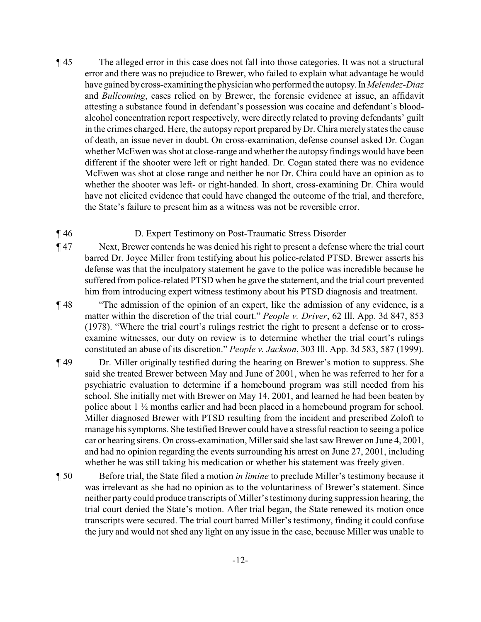¶ 45 The alleged error in this case does not fall into those categories. It was not a structural error and there was no prejudice to Brewer, who failed to explain what advantage he would have gained bycross-examining the physician who performed the autopsy.In *Melendez-Diaz* and *Bullcoming*, cases relied on by Brewer, the forensic evidence at issue, an affidavit attesting a substance found in defendant's possession was cocaine and defendant's bloodalcohol concentration report respectively, were directly related to proving defendants' guilt in the crimes charged. Here, the autopsy report prepared by Dr. Chira merely states the cause of death, an issue never in doubt. On cross-examination, defense counsel asked Dr. Cogan whether McEwen was shot at close-range and whether the autopsy findings would have been different if the shooter were left or right handed. Dr. Cogan stated there was no evidence McEwen was shot at close range and neither he nor Dr. Chira could have an opinion as to whether the shooter was left- or right-handed. In short, cross-examining Dr. Chira would have not elicited evidence that could have changed the outcome of the trial, and therefore, the State's failure to present him as a witness was not be reversible error.

## ¶ 46 D. Expert Testimony on Post-Traumatic Stress Disorder

- ¶ 47 Next, Brewer contends he was denied his right to present a defense where the trial court barred Dr. Joyce Miller from testifying about his police-related PTSD. Brewer asserts his defense was that the inculpatory statement he gave to the police was incredible because he suffered from police-related PTSD when he gave the statement, and the trial court prevented him from introducing expert witness testimony about his PTSD diagnosis and treatment.
- ¶ 48 "The admission of the opinion of an expert, like the admission of any evidence, is a matter within the discretion of the trial court." *People v. Driver*, 62 Ill. App. 3d 847, 853 (1978). "Where the trial court's rulings restrict the right to present a defense or to crossexamine witnesses, our duty on review is to determine whether the trial court's rulings constituted an abuse of its discretion." *People v. Jackson*, 303 Ill. App. 3d 583, 587 (1999).
- ¶ 49 Dr. Miller originally testified during the hearing on Brewer's motion to suppress. She said she treated Brewer between May and June of 2001, when he was referred to her for a psychiatric evaluation to determine if a homebound program was still needed from his school. She initially met with Brewer on May 14, 2001, and learned he had been beaten by police about 1 ½ months earlier and had been placed in a homebound program for school. Miller diagnosed Brewer with PTSD resulting from the incident and prescribed Zoloft to manage his symptoms. She testified Brewer could have a stressful reaction to seeing a police car or hearing sirens. On cross-examination, Miller said she last saw Brewer on June 4, 2001, and had no opinion regarding the events surrounding his arrest on June 27, 2001, including whether he was still taking his medication or whether his statement was freely given.
- ¶ 50 Before trial, the State filed a motion *in limine* to preclude Miller's testimony because it was irrelevant as she had no opinion as to the voluntariness of Brewer's statement. Since neither party could produce transcripts of Miller's testimony during suppression hearing, the trial court denied the State's motion. After trial began, the State renewed its motion once transcripts were secured. The trial court barred Miller's testimony, finding it could confuse the jury and would not shed any light on any issue in the case, because Miller was unable to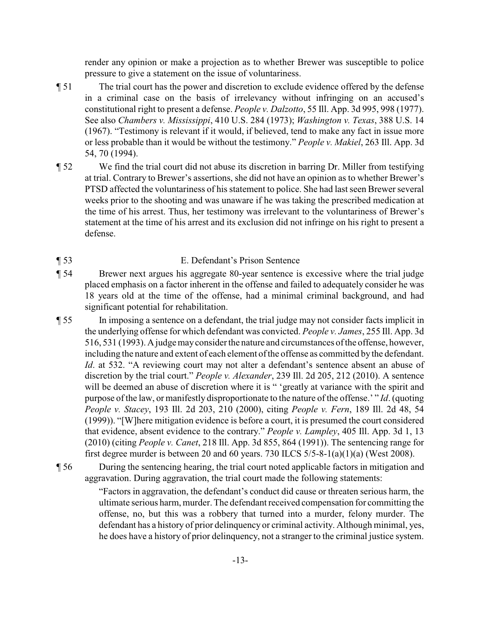render any opinion or make a projection as to whether Brewer was susceptible to police pressure to give a statement on the issue of voluntariness.

- ¶ 51 The trial court has the power and discretion to exclude evidence offered by the defense in a criminal case on the basis of irrelevancy without infringing on an accused's constitutional right to present a defense. *People v. Dalzotto*, 55 Ill. App. 3d 995, 998 (1977). See also *Chambers v. Mississippi*, 410 U.S. 284 (1973); *Washington v. Texas*, 388 U.S. 14 (1967). "Testimony is relevant if it would, if believed, tend to make any fact in issue more or less probable than it would be without the testimony." *People v. Makiel*, 263 Ill. App. 3d 54, 70 (1994).
- ¶ 52 We find the trial court did not abuse its discretion in barring Dr. Miller from testifying at trial. Contrary to Brewer's assertions, she did not have an opinion as to whether Brewer's PTSD affected the voluntariness of his statement to police. She had last seen Brewer several weeks prior to the shooting and was unaware if he was taking the prescribed medication at the time of his arrest. Thus, her testimony was irrelevant to the voluntariness of Brewer's statement at the time of his arrest and its exclusion did not infringe on his right to present a defense.
- ¶ 53 E. Defendant's Prison Sentence
- ¶ 54 Brewer next argues his aggregate 80-year sentence is excessive where the trial judge placed emphasis on a factor inherent in the offense and failed to adequately consider he was 18 years old at the time of the offense, had a minimal criminal background, and had significant potential for rehabilitation.
- ¶ 55 In imposing a sentence on a defendant, the trial judge may not consider facts implicit in the underlying offense for which defendant was convicted. *People v. James*, 255 Ill. App. 3d 516, 531 (1993). A judgemayconsider the nature and circumstances of the offense, however, including the nature and extent of each element of the offense as committed by the defendant. *Id*. at 532. "A reviewing court may not alter a defendant's sentence absent an abuse of discretion by the trial court." *People v. Alexander*, 239 Ill. 2d 205, 212 (2010). A sentence will be deemed an abuse of discretion where it is " 'greatly at variance with the spirit and purpose of the law, or manifestly disproportionate to the nature of the offense.' " *Id*. (quoting *People v. Stacey*, 193 Ill. 2d 203, 210 (2000), citing *People v. Fern*, 189 Ill. 2d 48, 54 (1999)). "[W]here mitigation evidence is before a court, it is presumed the court considered that evidence, absent evidence to the contrary." *People v. Lampley*, 405 Ill. App. 3d 1, 13 (2010) (citing *People v. Canet*, 218 Ill. App. 3d 855, 864 (1991)). The sentencing range for first degree murder is between 20 and 60 years. 730 ILCS  $5/5-8-1(a)(1)(a)$  (West 2008).
- ¶ 56 During the sentencing hearing, the trial court noted applicable factors in mitigation and aggravation. During aggravation, the trial court made the following statements:

"Factors in aggravation, the defendant's conduct did cause or threaten serious harm, the ultimate serious harm, murder. The defendant received compensation for committing the offense, no, but this was a robbery that turned into a murder, felony murder. The defendant has a history of prior delinquency or criminal activity. Although minimal, yes, he does have a history of prior delinquency, not a stranger to the criminal justice system.